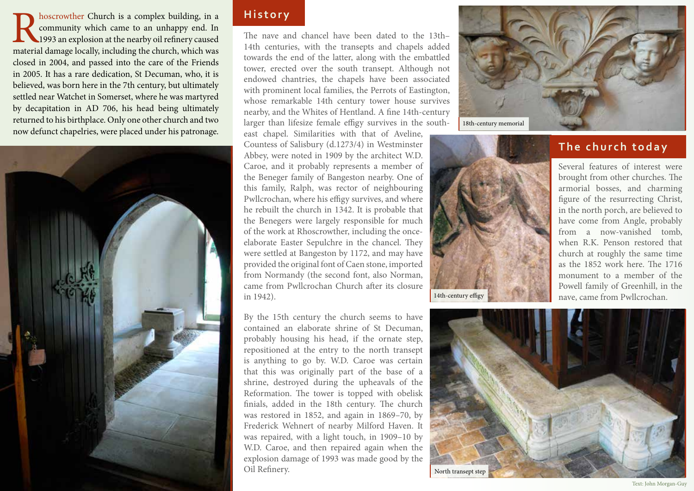**Reference is a complex building, in a** community which came to an unhappy end. In 1993 an explosion at the nearby oil refinery caused material damage locally, including the church, which was community which came to an unhappy end. In 1993 an explosion at the nearby oil refinery caused closed in 2004, and passed into the care of the Friends in 2005. It has a rare dedication, St Decuman, who, it is believed, was born here in the 7th century, but ultimately settled near Watchet in Somerset, where he was martyred by decapitation in AD 706, his head being ultimately returned to his birthplace. Only one other church and two now defunct chapelries, were placed under his patronage.



# **History**

The nave and chancel have been dated to the 13th– 14th centuries, with the transepts and chapels added towards the end of the latter, along with the embattled tower, erected over the south transept. Although not endowed chantries, the chapels have been associated with prominent local families, the Perrots of Eastington, whose remarkable 14th century tower house survives nearby, and the Whites of Hentland. A fine 14th-century larger than lifesize female effigy survives in the south-

east chapel. Similarities with that of Aveline, Countess of Salisbury (d.1273/4) in Westminster Abbey, were noted in 1909 by the architect W.D. Caroe, and it probably represents a member of the Beneger family of Bangeston nearby. One of this family, Ralph, was rector of neighbouring Pwllcrochan, where his effigy survives, and where he rebuilt the church in 1342. It is probable that the Benegers were largely responsible for much of the work at Rhoscrowther, including the onceelaborate Easter Sepulchre in the chancel. They were settled at Bangeston by 1172, and may have provided the original font of Caen stone, imported from Normandy (the second font, also Norman, came from Pwllcrochan Church after its closure in 1942).

By the 15th century the church seems to have contained an elaborate shrine of St Decuman, probably housing his head, if the ornate step, repositioned at the entry to the north transept is anything to go by. W.D. Caroe was certain that this was originally part of the base of a shrine, destroyed during the upheavals of the Reformation. The tower is topped with obelisk finials, added in the 18th century. The church was restored in 1852, and again in 1869–70, by Frederick Wehnert of nearby Milford Haven. It was repaired, with a light touch, in 1909–10 by W.D. Caroe, and then repaired again when the explosion damage of 1993 was made good by the Oil Refinery.



## **The church today**

Several features of interest were brought from other churches. The armorial bosses, and charming figure of the resurrecting Christ, in the north porch, are believed to have come from Angle, probably from a now-vanished tomb, when R.K. Penson restored that church at roughly the same time as the 1852 work here. The 1716 monument to a member of the Powell family of Greenhill, in the nave, came from Pwllcrochan.



14th-century effigy

Text: John Morgan-Guy